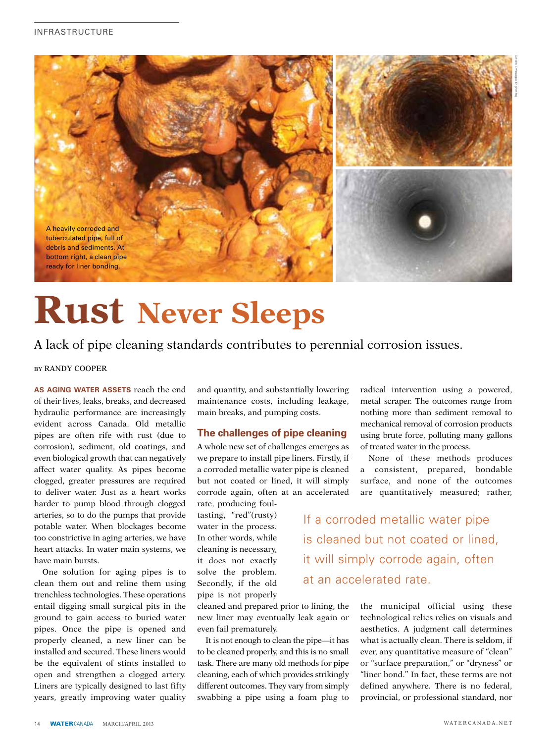

# **Rust Never Sleeps**

## A lack of pipe cleaning standards contributes to perennial corrosion issues.

### BY RANDY COOPER

**As aging water assets** reach the end of their lives, leaks, breaks, and decreased hydraulic performance are increasingly evident across Canada. Old metallic pipes are often rife with rust (due to corrosion), sediment, old coatings, and even biological growth that can negatively affect water quality. As pipes become clogged, greater pressures are required to deliver water. Just as a heart works harder to pump blood through clogged arteries, so to do the pumps that provide potable water. When blockages become too constrictive in aging arteries, we have heart attacks. In water main systems, we have main bursts.

One solution for aging pipes is to clean them out and reline them using trenchless technologies. These operations entail digging small surgical pits in the ground to gain access to buried water pipes. Once the pipe is opened and properly cleaned, a new liner can be installed and secured. These liners would be the equivalent of stints installed to open and strengthen a clogged artery. Liners are typically designed to last fifty years, greatly improving water quality and quantity, and substantially lowering maintenance costs, including leakage, main breaks, and pumping costs.

## **The challenges of pipe cleaning**

A whole new set of challenges emerges as we prepare to install pipe liners. Firstly, if a corroded metallic water pipe is cleaned but not coated or lined, it will simply corrode again, often at an accelerated

rate, producing foultasting, "red"(rusty) water in the process. In other words, while cleaning is necessary, it does not exactly solve the problem. Secondly, if the old pipe is not properly

cleaned and prepared prior to lining, the new liner may eventually leak again or even fail prematurely.

It is not enough to clean the pipe—it has to be cleaned properly, and this is no small task. There are many old methods for pipe cleaning, each of which provides strikingly different outcomes. They vary from simply swabbing a pipe using a foam plug to radical intervention using a powered, metal scraper. The outcomes range from nothing more than sediment removal to mechanical removal of corrosion products using brute force, polluting many gallons of treated water in the process.

None of these methods produces a consistent, prepared, bondable surface, and none of the outcomes are quantitatively measured; rather,

If a corroded metallic water pipe is cleaned but not coated or lined, it will simply corrode again, often at an accelerated rate.

> the municipal official using these technological relics relies on visuals and aesthetics. A judgment call determines what is actually clean. There is seldom, if ever, any quantitative measure of "clean" or "surface preparation," or "dryness" or "liner bond." In fact, these terms are not defined anywhere. There is no federal, provincial, or professional standard, nor